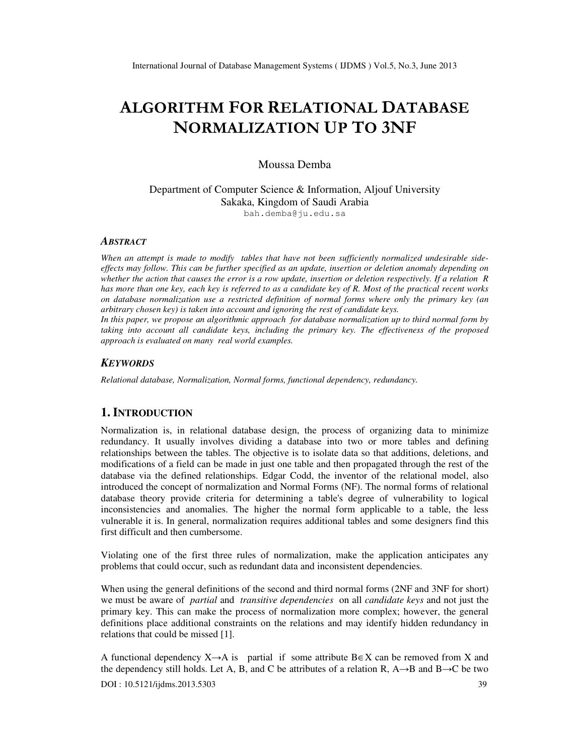# ALGORITHM FOR RELATIONAL DATABASE NORMALIZATION UP TO 3NF

## Moussa Demba

Department of Computer Science & Information, Aljouf University Sakaka, Kingdom of Saudi Arabia bah.demba@ju.edu.sa

#### *ABSTRACT*

*When an attempt is made to modify tables that have not been sufficiently normalized undesirable sideeffects may follow. This can be further specified as an update, insertion or deletion anomaly depending on whether the action that causes the error is a row update, insertion or deletion respectively. If a relation R has more than one key, each key is referred to as a candidate key of R. Most of the practical recent works on database normalization use a restricted definition of normal forms where only the primary key (an arbitrary chosen key) is taken into account and ignoring the rest of candidate keys.* 

*In this paper, we propose an algorithmic approach for database normalization up to third normal form by taking into account all candidate keys, including the primary key. The effectiveness of the proposed approach is evaluated on many real world examples.*

#### *KEYWORDS*

*Relational database, Normalization, Normal forms, functional dependency, redundancy.* 

## **1. INTRODUCTION**

Normalization is, in relational database design, the process of organizing data to minimize redundancy. It usually involves dividing a database into two or more tables and defining relationships between the tables. The objective is to isolate data so that additions, deletions, and modifications of a field can be made in just one table and then propagated through the rest of the database via the defined relationships. Edgar Codd, the inventor of the relational model, also introduced the concept of normalization and Normal Forms (NF). The normal forms of relational database theory provide criteria for determining a table's degree of vulnerability to logical inconsistencies and anomalies. The higher the normal form applicable to a table, the less vulnerable it is. In general, normalization requires additional tables and some designers find this first difficult and then cumbersome.

Violating one of the first three rules of normalization, make the application anticipates any problems that could occur, such as redundant data and inconsistent dependencies.

When using the general definitions of the second and third normal forms (2NF and 3NF for short) we must be aware of *partial* and *transitive dependencies* on all *candidate keys* and not just the primary key. This can make the process of normalization more complex; however, the general definitions place additional constraints on the relations and may identify hidden redundancy in relations that could be missed [1].

DOI : 10.5121/ijdms.2013.5303 39 A functional dependency  $X \rightarrow A$  is partial if some attribute B∈X can be removed from X and the dependency still holds. Let A, B, and C be attributes of a relation R,  $A \rightarrow B$  and B $\rightarrow C$  be two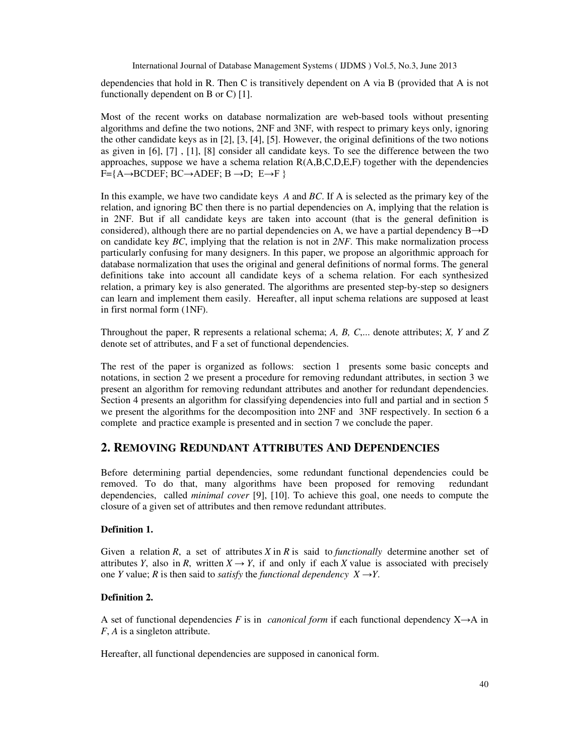dependencies that hold in R. Then C is transitively dependent on A via B (provided that A is not functionally dependent on B or C) [1].

Most of the recent works on database normalization are web-based tools without presenting algorithms and define the two notions, 2NF and 3NF, with respect to primary keys only, ignoring the other candidate keys as in [2], [3, [4], [5]. However, the original definitions of the two notions as given in [6], [7] , [1], [8] consider all candidate keys. To see the difference between the two approaches, suppose we have a schema relation  $R(A,B,C,D,E,F)$  together with the dependencies  $F = \{A \rightarrow BCDEF$ ;  $BC \rightarrow ADEF$ ;  $B \rightarrow D$ ;  $E \rightarrow F$ }

In this example, we have two candidate keys *A* and *BC*. If A is selected as the primary key of the relation, and ignoring BC then there is no partial dependencies on A, implying that the relation is in 2NF. But if all candidate keys are taken into account (that is the general definition is considered), although there are no partial dependencies on A, we have a partial dependency B→D on candidate key *BC*, implying that the relation is not in *2NF*. This make normalization process particularly confusing for many designers. In this paper, we propose an algorithmic approach for database normalization that uses the original and general definitions of normal forms. The general definitions take into account all candidate keys of a schema relation. For each synthesized relation, a primary key is also generated. The algorithms are presented step-by-step so designers can learn and implement them easily. Hereafter, all input schema relations are supposed at least in first normal form (1NF).

Throughout the paper, R represents a relational schema; *A, B, C*,... denote attributes; *X, Y* and *Z* denote set of attributes, and F a set of functional dependencies.

The rest of the paper is organized as follows: section 1 presents some basic concepts and notations, in section 2 we present a procedure for removing redundant attributes, in section 3 we present an algorithm for removing redundant attributes and another for redundant dependencies. Section 4 presents an algorithm for classifying dependencies into full and partial and in section 5 we present the algorithms for the decomposition into 2NF and 3NF respectively. In section 6 a complete and practice example is presented and in section 7 we conclude the paper.

## **2. REMOVING REDUNDANT ATTRIBUTES AND DEPENDENCIES**

Before determining partial dependencies, some redundant functional dependencies could be removed. To do that, many algorithms have been proposed for removing redundant dependencies, called *minimal cover* [9], [10]. To achieve this goal, one needs to compute the closure of a given set of attributes and then remove redundant attributes.

## **Definition 1.**

Given a relation *R*, a set of attributes *X* in *R* is said to *functionally* determine another set of attributes *Y*, also in *R*, written  $X \rightarrow Y$ , if and only if each *X* value is associated with precisely one *Y* value; *R* is then said to *satisfy* the *functional dependency*  $X \rightarrow Y$ .

## **Definition 2.**

A set of functional dependencies *F* is in *canonical form* if each functional dependency X→A in *F*, *A* is a singleton attribute.

Hereafter, all functional dependencies are supposed in canonical form.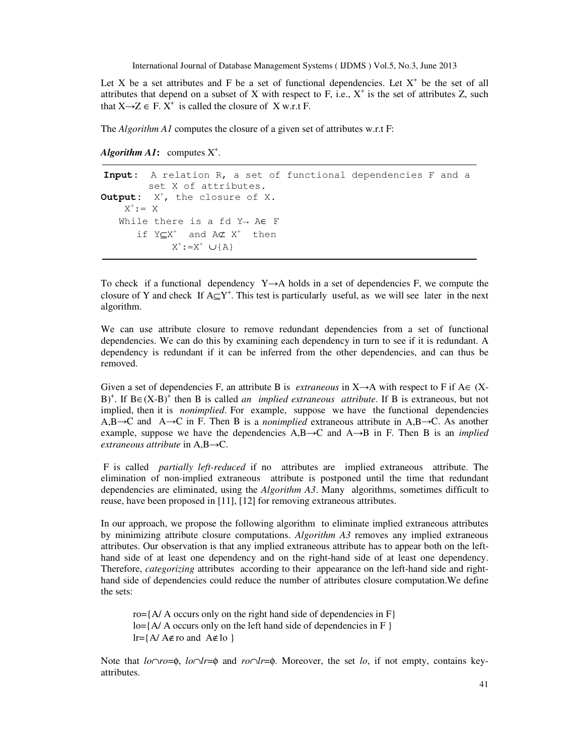Let X be a set attributes and F be a set of functional dependencies. Let  $X^+$  be the set of all attributes that depend on a subset of X with respect to F, i.e.,  $X^+$  is the set of attributes Z, such that  $X \rightarrow Z \in F$ .  $X^+$  is called the closure of X w.r.t F.

The *Algorithm A1* computes the closure of a given set of attributes w.r.t F:

Algorithm A1: computes  $X^+$ .

```
Input: A relation R, a set of functional dependencies F and a 
          set X of attributes. 
Output: X^+, the closure of X.
    X^+:= X While there is a fd Y→ A∈ F 
if Y⊆X<sup>+</sup> and A⊄ X<sup>+</sup> then
             X^*:=X^* \cup \{A\}
```
To check if a functional dependency  $Y\rightarrow A$  holds in a set of dependencies F, we compute the closure of Y and check If  $A \subseteq Y^+$ . This test is particularly useful, as we will see later in the next algorithm.

We can use attribute closure to remove redundant dependencies from a set of functional dependencies. We can do this by examining each dependency in turn to see if it is redundant. A dependency is redundant if it can be inferred from the other dependencies, and can thus be removed.

Given a set of dependencies F, an attribute B is *extraneous* in X→A with respect to F if A∈ (X-B)<sup>+</sup>. If  $B \in (X-B)^+$  then B is called *an implied extraneous attribute*. If B is extraneous, but not implied, then it is *nonimplied*. For example, suppose we have the functional dependencies A,B→C and A→C in F. Then B is a *nonimplied* extraneous attribute in A,B→C. As another example, suppose we have the dependencies  $A, B \rightarrow C$  and  $A \rightarrow B$  in F. Then B is an *implied extraneous attribute* in A,B→C.

 F is called *partially left-reduced* if no attributes are implied extraneous attribute. The elimination of non-implied extraneous attribute is postponed until the time that redundant dependencies are eliminated, using the *Algorithm A3*. Many algorithms, sometimes difficult to reuse, have been proposed in [11], [12] for removing extraneous attributes.

In our approach, we propose the following algorithm to eliminate implied extraneous attributes by minimizing attribute closure computations. *Algorithm A3* removes any implied extraneous attributes. Our observation is that any implied extraneous attribute has to appear both on the lefthand side of at least one dependency and on the right-hand side of at least one dependency. Therefore, *categorizing* attributes according to their appearance on the left-hand side and righthand side of dependencies could reduce the number of attributes closure computation.We define the sets:

ro= ${A/\,A}$  occurs only on the right hand side of dependencies in F}  $\text{lo}=\{A/A \text{ occurs only on the left hand side of dependencies in } F\}$  $l = \{A / A \notin \text{ro and } A \notin \text{lo }\}$ 

Note that *lo*∩*ro*=φ, *lo*∩*lr*=φ and *ro*∩*lr*=φ. Moreover, the set *lo*, if not empty, contains keyattributes.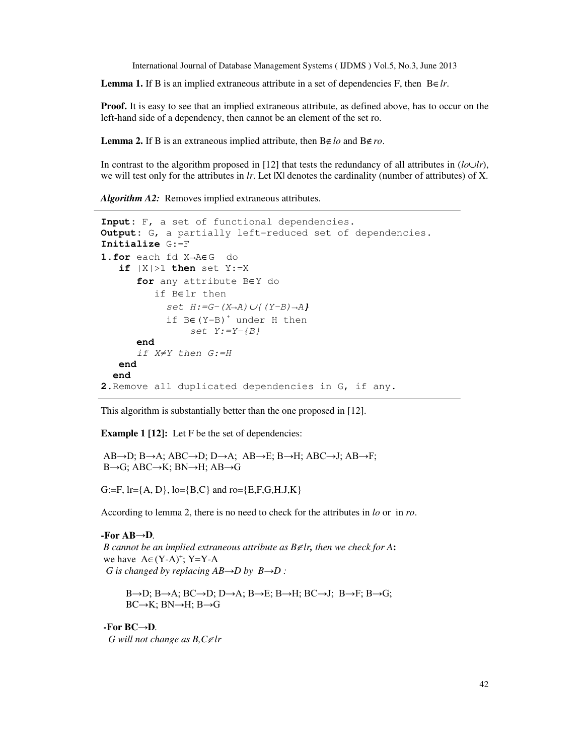**Lemma 1.** If B is an implied extraneous attribute in a set of dependencies F, then  $B \in \mathbb{R}$ .

**Proof.** It is easy to see that an implied extraneous attribute, as defined above, has to occur on the left-hand side of a dependency, then cannot be an element of the set ro.

**Lemma 2.** If B is an extraneous implied attribute, then B∉*lo* and B∉*ro*.

In contrast to the algorithm proposed in [12] that tests the redundancy of all attributes in (*lo*∪*lr*), we will test only for the attributes in *lr*. Let |X| denotes the cardinality (number of attributes) of X.

*Algorithm A2:* Removes implied extraneous attributes.

```
\overline{a}Input: F, a set of functional dependencies. 
Output: G, a partially left-reduced set of dependencies. 
Initialize G:=F 
1.for each fd X→A∈G do 
    if |X|>1 then set Y:=X 
       for any attribute B∈Y do 
           if B∈lr then 
             set H:=G-(X→A)∪{(Y-B)→A} 
            if B∈(Y-B)<sup>+</sup> under H then
                  set Y:=Y-{B} 
       end
      if X \neq Y then G:=H end
   end 
2.Remove all duplicated dependencies in G, if any.
```
This algorithm is substantially better than the one proposed in [12].

**Example 1 [12]:** Let F be the set of dependencies:

 AB→D; B→A; ABC→D; D→A; AB→E; B→H; ABC→J; AB→F; B→G; ABC→K; BN→H; AB→G

G:=F,  $Ir=\{A, D\}$ ,  $lo=\{B, C\}$  and  $ro=\{E, F, G, H, J, K\}$ 

According to lemma 2, there is no need to check for the attributes in *lo* or in *ro*.

#### **-For AB**→**D***.*

 *B cannot be an implied extraneous attribute as B*∉*lr, then we check for A***:**  we have  $A \in (Y-A)^+$ ; Y=Y-A *G* is changed by replacing  $AB \rightarrow D$  by  $B \rightarrow D$ :

 $B\rightarrow D$ ;  $B\rightarrow A$ ;  $BC\rightarrow D$ ;  $D\rightarrow A$ ;  $B\rightarrow E$ ;  $B\rightarrow H$ ;  $BC\rightarrow J$ ;  $B\rightarrow F$ ;  $B\rightarrow G$ ;  $BC\rightarrow K$ ;  $BN\rightarrow H$ ;  $B\rightarrow G$ 

 **-For BC**→**D***. G will not change as B,C*∉*lr*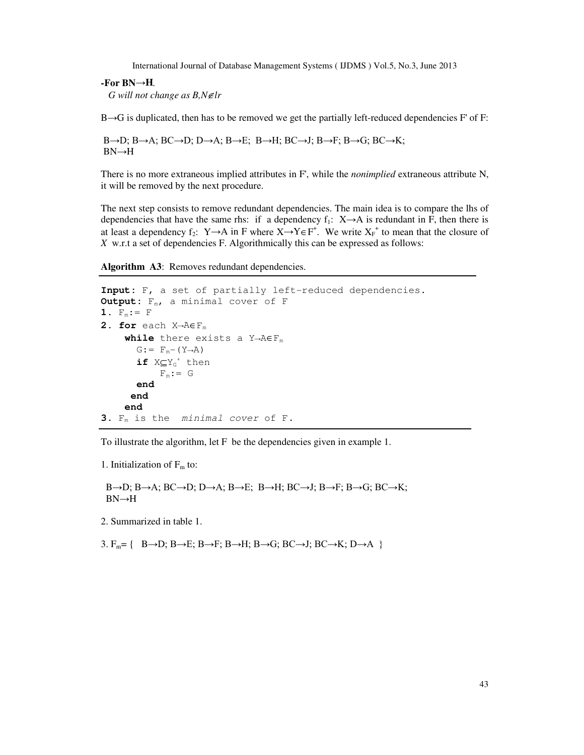**-For BN**→**H***.*

 *G will not change as B,N*∉*lr* 

 $B \rightarrow G$  is duplicated, then has to be removed we get the partially left-reduced dependencies F' of F:

 $B\rightarrow D$ ;  $B\rightarrow A$ ;  $BC\rightarrow D$ ;  $D\rightarrow A$ ;  $B\rightarrow E$ ;  $B\rightarrow H$ ;  $BC\rightarrow J$ ;  $B\rightarrow F$ ;  $B\rightarrow G$ ;  $BC\rightarrow K$ ; BN→H

There is no more extraneous implied attributes in F', while the *nonimplied* extraneous attribute N, it will be removed by the next procedure.

The next step consists to remove redundant dependencies. The main idea is to compare the lhs of dependencies that have the same rhs: if a dependency  $f_1$ :  $X \rightarrow A$  is redundant in F, then there is at least a dependency f<sub>2</sub>: Y→A in F where  $X \rightarrow Y \in F^+$ . We write  $X_F^+$  to mean that the closure of *X* w.r.t a set of dependencies F. Algorithmically this can be expressed as follows:

**Algorithm A3**: Removes redundant dependencies.

```
Input: F, a set of partially left-reduced dependencies. 
Output: F_m, a minimal cover of F
1. F_m := F2. for each X→A∈F<sub>m</sub>
     while there exists a Y→A∈F<sub>m</sub>
       G: = F_m- (Y \rightarrow A)if X⊆Y<sub>G</sub><sup>+</sup> then
             F_m: = G end 
       end 
      end 
3. Fm is the minimal cover of F.
```
To illustrate the algorithm, let F be the dependencies given in example 1.

1. Initialization of  $F_m$  to:

 $B\rightarrow D$ ;  $B\rightarrow A$ ;  $BC\rightarrow D$ ;  $D\rightarrow A$ ;  $B\rightarrow E$ ;  $B\rightarrow H$ ;  $BC\rightarrow J$ ;  $B\rightarrow F$ ;  $B\rightarrow G$ ;  $BC\rightarrow K$ ; BN→H

2. Summarized in table 1.

3.  $F_m = \{ B \rightarrow D; B \rightarrow E; B \rightarrow F; B \rightarrow H; B \rightarrow G; BC \rightarrow J; BC \rightarrow K; D \rightarrow A \}$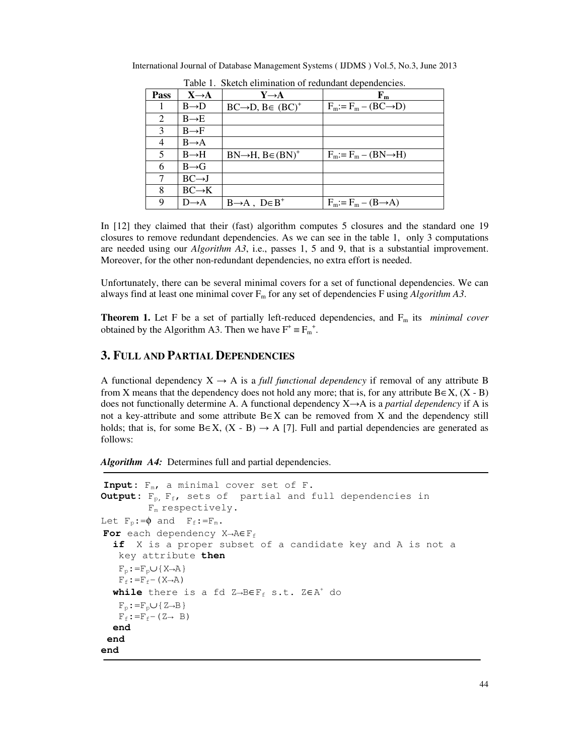| <b>Pass</b>    | $X \rightarrow A$  | $Y \rightarrow A$              | $F_m$                             |
|----------------|--------------------|--------------------------------|-----------------------------------|
|                | $B\rightarrow D$   | $BC \rightarrow D, Be (BC)^+$  | $F_m := F_m - (BC \rightarrow D)$ |
| 2              | $B \rightarrow E$  |                                |                                   |
| 3              | $B \rightarrow F$  |                                |                                   |
| $\overline{4}$ | $B \rightarrow A$  |                                |                                   |
| 5              | $B \rightarrow H$  | $BN\rightarrow H$ , $Be(BN)^+$ | $F_m:=F_m-(BN\rightarrow H)$      |
| 6              | $B \rightarrow G$  |                                |                                   |
| 7              | $BC \rightarrow J$ |                                |                                   |
| 8              | $BC \rightarrow K$ |                                |                                   |
| 9              | $D\rightarrow A$   | $B\rightarrow A$ , $D\in B^+$  | $F_m:=F_m-(B\rightarrow A)$       |

International Journal of Database Management Systems ( IJDMS ) Vol.5, No.3, June 2013

Table 1. Sketch elimination of redundant dependencies.

In [12] they claimed that their (fast) algorithm computes 5 closures and the standard one 19 closures to remove redundant dependencies. As we can see in the table 1, only 3 computations are needed using our *Algorithm A3*, i.e., passes 1, 5 and 9, that is a substantial improvement. Moreover, for the other non-redundant dependencies, no extra effort is needed.

Unfortunately, there can be several minimal covers for a set of functional dependencies. We can always find at least one minimal cover  $F_m$  for any set of dependencies F using *Algorithm A3*.

**Theorem 1.** Let F be a set of partially left-reduced dependencies, and  $F_m$  its *minimal cover* obtained by the Algorithm A3. Then we have  $F^+ \equiv F_m^+$ .

# **3. FULL AND PARTIAL DEPENDENCIES**

A functional dependency  $X \rightarrow A$  is a *full functional dependency* if removal of any attribute B from X means that the dependency does not hold any more; that is, for any attribute  $B \in X$ ,  $(X - B)$ does not functionally determine A. A functional dependency X→A is a *partial dependency* if A is not a key-attribute and some attribute  $B \in X$  can be removed from X and the dependency still holds; that is, for some  $B \in X$ ,  $(X - B) \rightarrow A$  [7]. Full and partial dependencies are generated as follows:

*Algorithm A4:* Determines full and partial dependencies.

```
Input: F_m, a minimal cover set of F.
Output: F_p, F_f, sets of partial and full dependencies in
           F_m respectively.
Let F_p:=\phi and F_f:=F_m.
For each dependency X→A∈F<sub>f</sub>
   if X is a proper subset of a candidate key and A is not a 
     key attribute then 
    F_p: =F_p \cup \{X \rightarrow A\}F_f: =F_f-(X\rightarrow A)while there is a fd Z→B∈F<sub>f</sub> s.t. Z∈A<sup>+</sup> do
    F_p: =F_p \cup \{Z \rightarrow B\}F_f: =F_f – (Z\rightarrow B)
   end 
  end 
end
```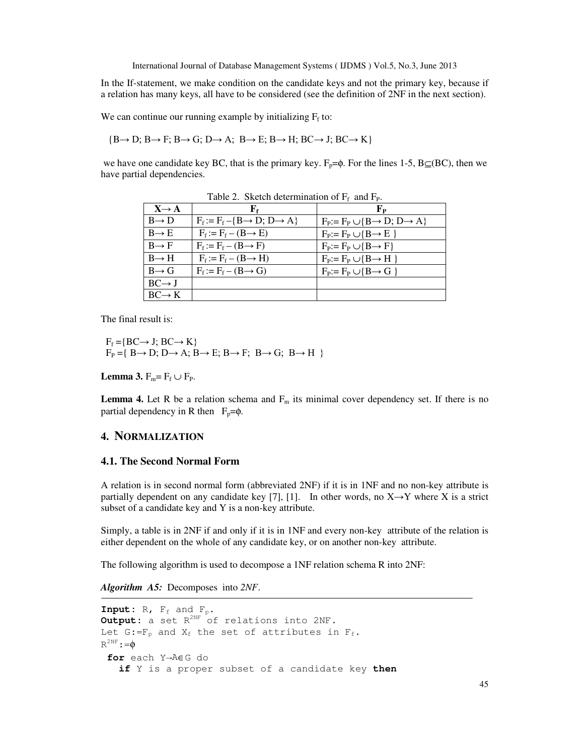In the If-statement, we make condition on the candidate keys and not the primary key, because if a relation has many keys, all have to be considered (see the definition of 2NF in the next section).

We can continue our running example by initializing  $F_f$  to:

$$
\{B \rightarrow D; B \rightarrow F; B \rightarrow G; D \rightarrow A; B \rightarrow E; B \rightarrow H; BC \rightarrow J; BC \rightarrow K\}
$$

we have one candidate key BC, that is the primary key.  $F_p=$  $\phi$ . For the lines 1-5, B $\subseteq$ (BC), then we have partial dependencies.

| $X \rightarrow A$  | ${\bf F}$                                           | ${\bf F}_{\bf p}$                                      |  |  |  |
|--------------------|-----------------------------------------------------|--------------------------------------------------------|--|--|--|
| $B \rightarrow D$  | $F_f := F_f - \{B \rightarrow D; D \rightarrow A\}$ | $F_P := F_P \cup \{B \rightarrow D; D \rightarrow A\}$ |  |  |  |
| $B \rightarrow E$  | $F_f := F_f - (B \rightarrow E)$                    | $F_P := F_P \cup \{B \rightarrow E\}$                  |  |  |  |
| $B \rightarrow F$  | $F_f := F_f - (B \rightarrow F)$                    | $F_P := F_P \cup \{B \rightarrow F\}$                  |  |  |  |
| $B \rightarrow H$  | $F_f := F_f - (B \rightarrow H)$                    | $F_P := F_P \cup \{B \rightarrow H\}$                  |  |  |  |
| $B \rightarrow G$  | $F_f := F_f - (B \rightarrow G)$                    | $F_P := F_P \cup \{B \rightarrow G\}$                  |  |  |  |
| $BC \rightarrow J$ |                                                     |                                                        |  |  |  |
| $BC \rightarrow K$ |                                                     |                                                        |  |  |  |

Table 2. Sketch determination of  $F_f$  and  $F_P$ .

The final result is:

 $F_f = {BC \rightarrow J; BC \rightarrow K}$  $F_P = \{ B \rightarrow D : D \rightarrow A : B \rightarrow E : B \rightarrow F : B \rightarrow G : B \rightarrow H \}$ 

**Lemma 3.**  $F_m = F_f \cup F_P$ .

**Lemma 4.** Let R be a relation schema and  $F_m$  its minimal cover dependency set. If there is no partial dependency in R then  $F_p = \phi$ .

## **4. NORMALIZATION**

## **4.1. The Second Normal Form**

A relation is in second normal form (abbreviated 2NF) if it is in 1NF and no non-key attribute is partially dependent on any candidate key [7], [1]. In other words, no  $X \rightarrow Y$  where X is a strict subset of a candidate key and Y is a non-key attribute.

Simply, a table is in 2NF if and only if it is in 1NF and every non-key attribute of the relation is either dependent on the whole of any candidate key, or on another non-key attribute.

The following algorithm is used to decompose a 1NF relation schema R into 2NF:

*Algorithm A5:* Decomposes into *2NF*.

```
Input: R, F_f and F_p.
Output: a set R<sup>2NF</sup> of relations into 2NF.
Let G:=F_p and X_f the set of attributes in F_f.
R^{\text{2NF}}: =φ
 for each Y→A∈G do 
    if Y is a proper subset of a candidate key then
```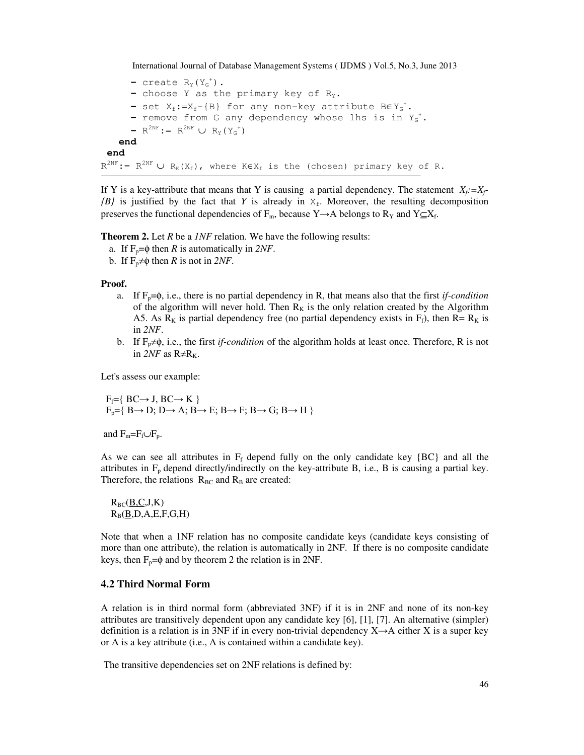$-$  create  $R_Y(Y_G^+)$ . - choose Y as the primary key of R<sub>Y</sub>.  $-$  set  $X_f:=X_f-\{B\}$  for any non-key attribute  $BEY_G^+$ . - remove from G any dependency whose lhs is in Y<sub>G</sub><sup>+</sup>.  $- R^{2NF} := R^{2NF} \cup R_Y(Y_G^+)$  **end end**   $R^{2NF}:= R^{2NF} \cup R_K(X_f)$ , where  $K \in X_f$  is the (chosen) primary key of R.

If Y is a key-attribute that means that Y is causing a partial dependency. The statement  $X_f = X_f$  $\langle B \rangle$  is justified by the fact that *Y* is already in  $X_f$ . Moreover, the resulting decomposition preserves the functional dependencies of  $F_m$ , because Y→A belongs to  $R_Y$  and Y $\subseteq X_f$ .

**Theorem 2.** Let *R* be a *1NF* relation. We have the following results:

- a. If  $F_p = \phi$  then *R* is automatically in 2NF.
- b. If  $F_p \neq \phi$  then *R* is not in 2NF.

**Proof.**

- a. If  $F_p = \phi$ , i.e., there is no partial dependency in R, that means also that the first *if-condition* of the algorithm will never hold. Then  $R_K$  is the only relation created by the Algorithm A5. As  $R_K$  is partial dependency free (no partial dependency exists in  $F_f$ ), then  $R = R_K$  is in *2NF*.
- b. If  $F_p \neq \emptyset$ , i.e., the first *if-condition* of the algorithm holds at least once. Therefore, R is not in  $2NF$  as  $R \neq R_K$ .

Let's assess our example:

 $F_f = \{ BC \rightarrow J, BC \rightarrow K \}$  $F_n = \{ B \rightarrow D : D \rightarrow A : B \rightarrow E : B \rightarrow F : B \rightarrow G : B \rightarrow H \}$ 

and  $F_m = F_f \cup F_p$ .

As we can see all attributes in  $F_f$  depend fully on the only candidate key  ${BC}$  and all the attributes in  $F_p$  depend directly/indirectly on the key-attribute B, i.e., B is causing a partial key. Therefore, the relations  $R_{BC}$  and  $R_B$  are created:

 $R_{BC}(\underline{B,C},J,K)$  $R_B(\underline{B},D,A,E,F,G,H)$ 

Note that when a 1NF relation has no composite candidate keys (candidate keys consisting of more than one attribute), the relation is automatically in 2NF. If there is no composite candidate keys, then  $F_p = \phi$  and by theorem 2 the relation is in 2NF.

## **4.2 Third Normal Form**

A relation is in third normal form (abbreviated 3NF) if it is in 2NF and none of its non-key attributes are transitively dependent upon any candidate key [6], [1], [7]. An alternative (simpler) definition is a relation is in 3NF if in every non-trivial dependency  $X \rightarrow A$  either X is a super key or A is a key attribute (i.e., A is contained within a candidate key).

The transitive dependencies set on 2NF relations is defined by: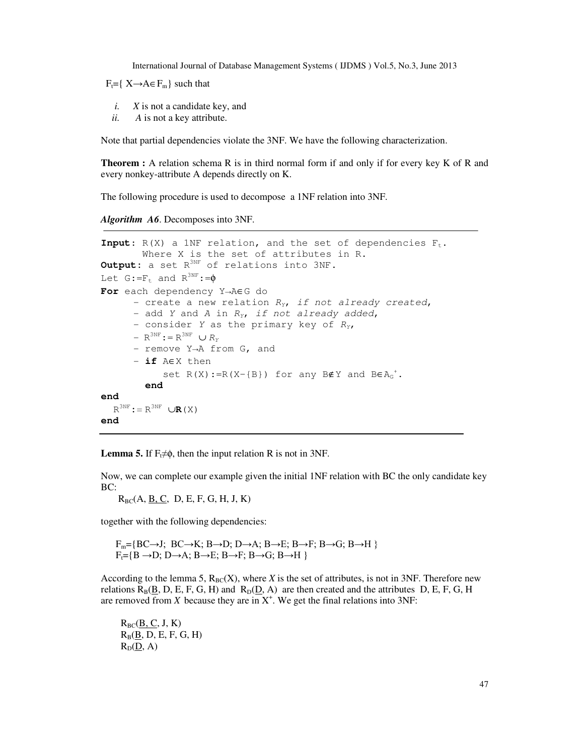$F_t = \{ X \rightarrow A \in F_m \}$  such that

- *i. X* is not a candidate key, and
- *ii. A* is not a key attribute.

Note that partial dependencies violate the 3NF. We have the following characterization.

**Theorem :** A relation schema R is in third normal form if and only if for every key K of R and every nonkey-attribute A depends directly on K.

The following procedure is used to decompose a 1NF relation into 3NF.

*Algorithm A6*. Decomposes into 3NF.

```
Input: R(X) a 1NF relation, and the set of dependencies F_t.
         Where X is the set of attributes in R. 
Output: a set R<sup>3NF</sup> of relations into 3NF.
Let G:=F_t and R^{3NF}:=\phiFor each dependency Y→A∈G do 
      - create a new relation R_Y, if not already created,
      - add Y and A in R_Y, if not already added,
      - consider Y as the primary key of R_{Y},
      - R^{3NF} := R^{3NF} \cup R_Y- remove Y→A from G, and 
      - if A∈X then 
set R(X):=R(X-\{B\}) for any B\notin Y and BEA_G^+.
         end 
end 
R^{3NF} : = R^{3NF} ∪R(X)
end
```
**Lemma 5.** If  $F_t \neq \phi$ , then the input relation R is not in 3NF.

Now, we can complete our example given the initial 1NF relation with BC the only candidate key BC:

 $R_{BC}(A, B, C, D, E, F, G, H, J, K)$ 

together with the following dependencies:

 $F_m = {BC \rightarrow J; BC \rightarrow K; B \rightarrow D; D \rightarrow A; B \rightarrow E; B \rightarrow F; B \rightarrow G; B \rightarrow H}$  $F_t = {B \rightarrow D; D \rightarrow A; B \rightarrow E; B \rightarrow F; B \rightarrow G; B \rightarrow H}$ 

According to the lemma 5,  $R_{BC}(X)$ , where *X* is the set of attributes, is not in 3NF. Therefore new relations  $R_B(B, D, E, F, G, H)$  and  $R_D(D, A)$  are then created and the attributes D, E, F, G, H are removed from  $X$  because they are in  $X^+$ . We get the final relations into 3NF:

 $R_{BC}(\underline{B}, \underline{C}, J, K)$  $R_B(\underline{B}, D, E, F, G, H)$  $R_D(D, A)$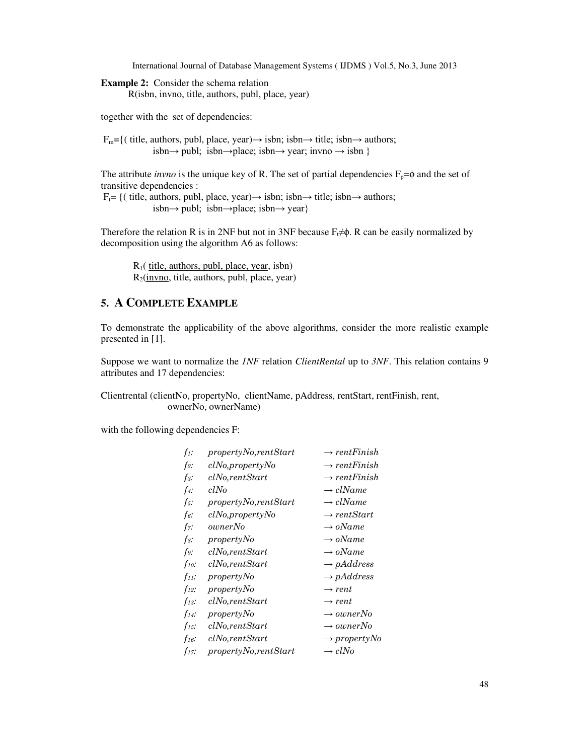**Example 2:** Consider the schema relation R(isbn, invno, title, authors, publ, place, year)

together with the set of dependencies:

 $F_m = \{$  (title, authors, publ, place, year) $\rightarrow$  isbn; isbn $\rightarrow$  title; isbn $\rightarrow$  authors; isbn→ publ; isbn→place; isbn→ year; invno → isbn }

The attribute *invno* is the unique key of R. The set of partial dependencies  $F_p = \phi$  and the set of transitive dependencies :

 $F_t = \{$  (title, authors, publ, place, year) $\rightarrow$  isbn; isbn $\rightarrow$  title; isbn $\rightarrow$  authors; isbn→ publ; isbn→place; isbn→ year}

Therefore the relation R is in 2NF but not in 3NF because  $F<sub>i</sub> ≠ \phi$ . R can be easily normalized by decomposition using the algorithm A6 as follows:

 $R_1$ ( title, authors, publ, place, year, isbn) R2(invno, title, authors, publ, place, year)

# **5. A COMPLETE EXAMPLE**

To demonstrate the applicability of the above algorithms, consider the more realistic example presented in [1].

Suppose we want to normalize the *1NF* relation *ClientRental* up to *3NF*. This relation contains 9 attributes and 17 dependencies:

Clientrental (clientNo, propertyNo, clientName, pAddress, rentStart, rentFinish, rent, ownerNo, ownerName)

with the following dependencies F:

| $f_1$ :    | propertyNo,rentStart   | $\rightarrow$ rentFinish |
|------------|------------------------|--------------------------|
| $f_2$ :    | clNo, propertyNo       | $\rightarrow$ rentFinish |
| $f_3$ :    | clNo,rentStart         | $\rightarrow$ rentFinish |
| $f_4$ :    | clNo                   | $\rightarrow$ clName     |
| $f_5$ :    | propertyNo, rentStart  | $\rightarrow$ clName     |
| $f_{6}$ :  | clNo, propertyNo       | $\rightarrow$ rentStart  |
| $f_7$ :    | ownerNo                | $\rightarrow$ oName      |
| fs:        | propertyNo             | $\rightarrow oName$      |
| $f_9$ :    | clNo, rentStart        | $\rightarrow$ oName      |
| $f_{10}$   | clNo,rentStart         | $\rightarrow$ pAddress   |
| $f_{11}$ : | propertyNo             | $\rightarrow$ pAddress   |
| $f_{12}$ : | propertyNo             | $\rightarrow$ rent       |
| $f_{13}$ : | clNo,rentStart         | $\rightarrow$ rent       |
| $f_{14}$ : | propertyNo             | $\rightarrow$ ownerNo    |
| $f_{15}$ : | clNo,rentStart         | $\rightarrow$ ownerNo    |
| $f_{16}$ : | clNo.rentStart         | $\rightarrow$ propertyNo |
| $f_{17}$   | propertyNo, rent Start | $\rightarrow$ clNo       |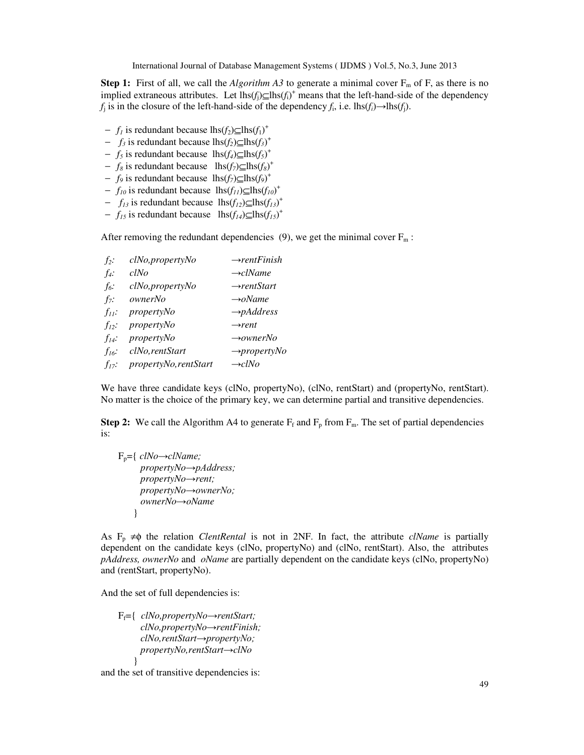**Step 1:** First of all, we call the *Algorithm A3* to generate a minimal cover  $F_m$  of F, as there is no implied extraneous attributes. Let lhs(*f*j)⊆lhs(*f*i) + means that the left-hand-side of the dependency *f*<sub>j</sub> is in the closure of the left-hand-side of the dependency *f*<sub>i</sub>, i.e. lhs(*f*<sub>*i*</sub>)→lhs(*f*<sub>j</sub>).

- $-f_l$  is redundant because  $\text{lns}(f_2) \subseteq \text{lns}(f_1)^+$
- − *f3* is redundant because lhs(*f2*)⊆lhs(*f3*) +
- − *f5* is redundant because lhs(*f4*)⊆lhs(*f5*) +
- − *f8* is redundant because lhs(*f7*)⊆lhs(*f8*) +
- − *f9* is redundant because lhs(*f7*)⊆lhs(*f9*) +
- − *f10* is redundant because lhs(*f11*)⊆lhs(*f10*) +
- − *f13* is redundant because lhs(*f12*)⊆lhs(*f13*) +
- − *f15* is redundant because lhs(*f14*)⊆lhs(*f15*) +

After removing the redundant dependencies (9), we get the minimal cover  $F_m$ :

| $f_2$ :    | clNo, propertyNo      | $\rightarrow$ rentFinish      |
|------------|-----------------------|-------------------------------|
| $f_4$ :    | clNo                  | $\rightarrow$ clName          |
| $f_{6}$ :  | clNo, propertyNo      | $\rightarrow$ rentStart       |
| $f_7$ :    | ownerNo               | $\rightarrow$ oName           |
| $f_{ll}$ : | propertyNo            | $\rightarrow$ <i>pAddress</i> |
| $f_{12}$ : | propertyNo            | $\rightarrow$ rent            |
| $f_{14}$ : | propertyNo            | $\rightarrow$ ownerNo         |
| $f_{16}$ : | clNo, rentStart       | $\rightarrow$ propertyNo      |
| $f_{17}$ : | propertyNo, rentStart | $\rightarrow$ clNo            |

We have three candidate keys (clNo, propertyNo), (clNo, rentStart) and (propertyNo, rentStart). No matter is the choice of the primary key, we can determine partial and transitive dependencies.

**Step 2:** We call the Algorithm A4 to generate  $F_f$  and  $F_p$  from  $F_m$ . The set of partial dependencies is:

 $F_p = \{ \; clNo \rightarrow clName; \; \; \; \; \;$  *propertyNo*→pAddress;  *propertyNo*→rent;  *propertyNo*→ownerNo;  *ownerNo*→*oName*  }

As  $F_p \neq \phi$  the relation *ClentRental* is not in 2NF. In fact, the attribute *clName* is partially dependent on the candidate keys (clNo, propertyNo) and (clNo, rentStart). Also, the attributes *pAddress, ownerNo* and *oName* are partially dependent on the candidate keys (clNo, propertyNo) and (rentStart, propertyNo).

And the set of full dependencies is:

 Ff={ *clNo,propertyNo*→rentStart;  *clNo,propertyNo*→rentFinish;  *clNo,rentStart*→propertyNo;  *propertyNo,rentStart*→*clNo*  }

and the set of transitive dependencies is: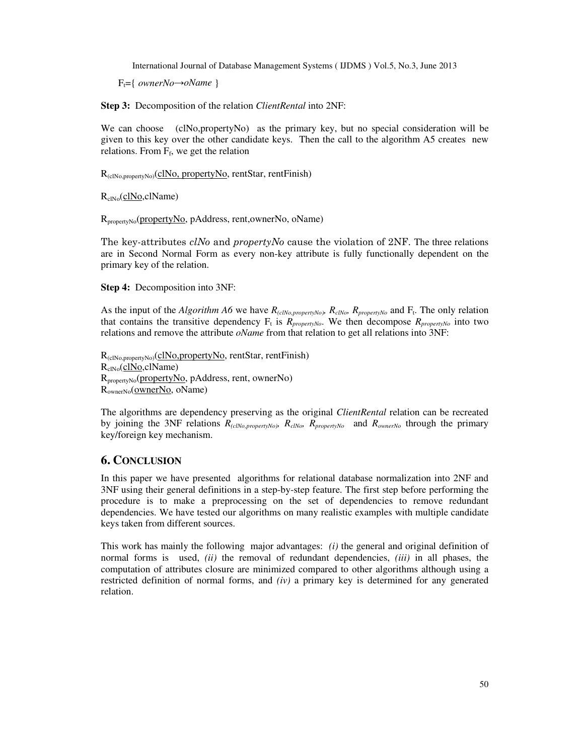F<sub>t</sub>={ *ownerNo→oName* }

**Step 3:** Decomposition of the relation *ClientRental* into 2NF:

We can choose (clNo,propertyNo) as the primary key, but no special consideration will be given to this key over the other candidate keys. Then the call to the algorithm A5 creates new relations. From  $F_f$ , we get the relation

R(clNo,propertyNo)(clNo, propertyNo, rentStar, rentFinish)

 $R_{c1No}$ (clNo,clName)

RpropertyNo(propertyNo, pAddress, rent,ownerNo, oName)

The key-attributes  $\text{c}$  lNo and property No cause the violation of 2NF. The three relations are in Second Normal Form as every non-key attribute is fully functionally dependent on the primary key of the relation.

**Step 4:** Decomposition into 3NF:

As the input of the *Algorithm A6* we have *R(clNo,propertyNo), RclNo, RpropertyNo* and F<sup>t</sup> . The only relation that contains the transitive dependency  $F_t$  is  $R_{propertyNo}$ . We then decompose  $R_{propertyNo}$  into two relations and remove the attribute *oName* from that relation to get all relations into 3NF:

R(clNo,propertyNo)(clNo,propertyNo, rentStar, rentFinish) R<sub>clNo</sub>(clNo,clName) RpropertyNo(propertyNo, pAddress, rent, ownerNo) RownerNo(ownerNo, oName)

The algorithms are dependency preserving as the original *ClientRental* relation can be recreated by joining the 3NF relations *R(clNo,propertyNo), RclNo, RpropertyNo* and *RownerNo* through the primary key/foreign key mechanism.

## **6. CONCLUSION**

In this paper we have presented algorithms for relational database normalization into 2NF and 3NF using their general definitions in a step-by-step feature. The first step before performing the procedure is to make a preprocessing on the set of dependencies to remove redundant dependencies. We have tested our algorithms on many realistic examples with multiple candidate keys taken from different sources.

This work has mainly the following major advantages: *(i)* the general and original definition of normal forms is used, *(ii)* the removal of redundant dependencies, *(iii)* in all phases, the computation of attributes closure are minimized compared to other algorithms although using a restricted definition of normal forms, and *(iv)* a primary key is determined for any generated relation.